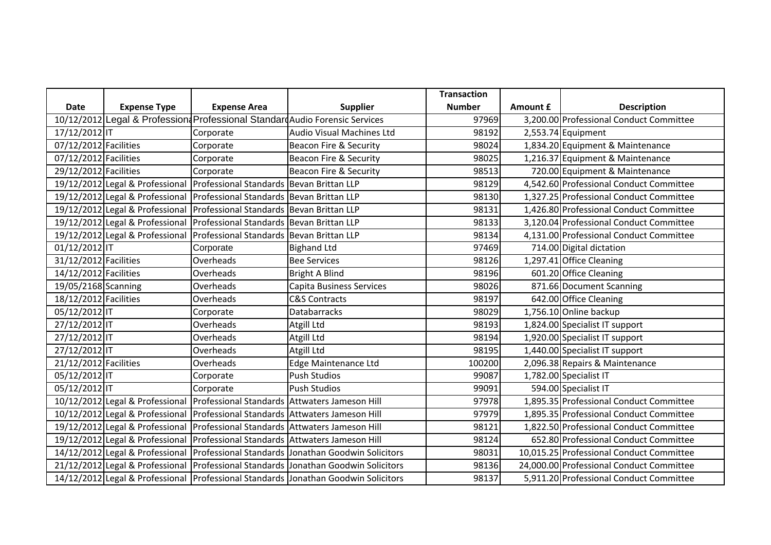|                       |                     |                                                                                   |                                                                                        | <b>Transaction</b> |          |                                          |
|-----------------------|---------------------|-----------------------------------------------------------------------------------|----------------------------------------------------------------------------------------|--------------------|----------|------------------------------------------|
| <b>Date</b>           | <b>Expense Type</b> | <b>Expense Area</b>                                                               | <b>Supplier</b>                                                                        | <b>Number</b>      | Amount £ | <b>Description</b>                       |
|                       |                     |                                                                                   | 10/12/2012 Legal & Profession Professional Standard Audio Forensic Services            | 97969              |          | 3,200.00 Professional Conduct Committee  |
| 17/12/2012 IT         |                     | Corporate                                                                         | Audio Visual Machines Ltd                                                              | 98192              |          | 2,553.74 Equipment                       |
| 07/12/2012 Facilities |                     | Corporate                                                                         | <b>Beacon Fire &amp; Security</b>                                                      | 98024              |          | 1,834.20 Equipment & Maintenance         |
| 07/12/2012 Facilities |                     | Corporate                                                                         | <b>Beacon Fire &amp; Security</b>                                                      | 98025              |          | 1,216.37 Equipment & Maintenance         |
| 29/12/2012 Facilities |                     | Corporate                                                                         | Beacon Fire & Security                                                                 | 98513              |          | 720.00 Equipment & Maintenance           |
|                       |                     | 19/12/2012 Legal & Professional Professional Standards Bevan Brittan LLP          |                                                                                        | 98129              |          | 4,542.60 Professional Conduct Committee  |
|                       |                     | 19/12/2012 Legal & Professional Professional Standards Bevan Brittan LLP          |                                                                                        | 98130              |          | 1,327.25 Professional Conduct Committee  |
|                       |                     | 19/12/2012 Legal & Professional Professional Standards Bevan Brittan LLP          |                                                                                        | 98131              |          | 1,426.80 Professional Conduct Committee  |
|                       |                     | 19/12/2012 Legal & Professional Professional Standards Bevan Brittan LLP          |                                                                                        | 98133              |          | 3,120.04 Professional Conduct Committee  |
|                       |                     | 19/12/2012 Legal & Professional Professional Standards Bevan Brittan LLP          |                                                                                        | 98134              |          | 4,131.00 Professional Conduct Committee  |
| 01/12/2012 IT         |                     | Corporate                                                                         | <b>Bighand Ltd</b>                                                                     | 97469              |          | 714.00 Digital dictation                 |
| 31/12/2012 Facilities |                     | Overheads                                                                         | <b>Bee Services</b>                                                                    | 98126              |          | 1,297.41 Office Cleaning                 |
| 14/12/2012 Facilities |                     | Overheads                                                                         | Bright A Blind                                                                         | 98196              |          | 601.20 Office Cleaning                   |
| 19/05/2168 Scanning   |                     | Overheads                                                                         | Capita Business Services                                                               | 98026              |          | 871.66 Document Scanning                 |
| 18/12/2012 Facilities |                     | Overheads                                                                         | <b>C&amp;S Contracts</b>                                                               | 98197              |          | 642.00 Office Cleaning                   |
| 05/12/2012 IT         |                     | Corporate                                                                         | <b>Databarracks</b>                                                                    | 98029              |          | 1,756.10 Online backup                   |
| 27/12/2012 IT         |                     | Overheads                                                                         | Atgill Ltd                                                                             | 98193              |          | 1,824.00 Specialist IT support           |
| 27/12/2012 IT         |                     | Overheads                                                                         | Atgill Ltd                                                                             | 98194              |          | 1,920.00 Specialist IT support           |
| 27/12/2012 IT         |                     | Overheads                                                                         | Atgill Ltd                                                                             | 98195              |          | 1,440.00 Specialist IT support           |
| 21/12/2012 Facilities |                     | Overheads                                                                         | Edge Maintenance Ltd                                                                   | 100200             |          | 2,096.38 Repairs & Maintenance           |
| 05/12/2012 IT         |                     | Corporate                                                                         | <b>Push Studios</b>                                                                    | 99087              |          | 1,782.00 Specialist IT                   |
| 05/12/2012 IT         |                     | Corporate                                                                         | <b>Push Studios</b>                                                                    | 99091              |          | 594.00 Specialist IT                     |
|                       |                     | 10/12/2012 Legal & Professional   Professional Standards   Attwaters Jameson Hill |                                                                                        | 97978              |          | 1,895.35 Professional Conduct Committee  |
|                       |                     | 10/12/2012 Legal & Professional Professional Standards Attwaters Jameson Hill     |                                                                                        | 97979              |          | 1,895.35 Professional Conduct Committee  |
|                       |                     | 19/12/2012 Legal & Professional Professional Standards Attwaters Jameson Hill     |                                                                                        | 98121              |          | 1,822.50 Professional Conduct Committee  |
|                       |                     | 19/12/2012 Legal & Professional Professional Standards Attwaters Jameson Hill     |                                                                                        | 98124              |          | 652.80 Professional Conduct Committee    |
|                       |                     |                                                                                   | 14/12/2012 Legal & Professional   Professional Standards   Jonathan Goodwin Solicitors | 98031              |          | 10,015.25 Professional Conduct Committee |
|                       |                     |                                                                                   | 21/12/2012 Legal & Professional Professional Standards Jonathan Goodwin Solicitors     | 98136              |          | 24,000.00 Professional Conduct Committee |
|                       |                     |                                                                                   | 14/12/2012 Legal & Professional Professional Standards Jonathan Goodwin Solicitors     | 98137              |          | 5,911.20 Professional Conduct Committee  |